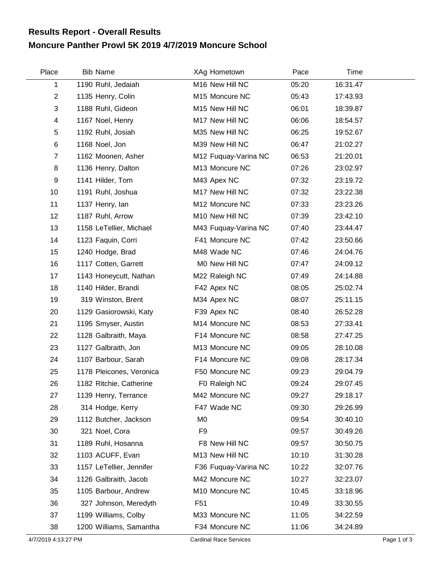## **Moncure Panther Prowl 5K 2019 4/7/2019 Moncure School Results Report - Overall Results**

| Place          | <b>Bib Name</b>          | XAg Hometown         | Pace  | Time     |  |
|----------------|--------------------------|----------------------|-------|----------|--|
| 1              | 1190 Ruhl, Jedaiah       | M16 New Hill NC      | 05:20 | 16:31.47 |  |
| $\overline{2}$ | 1135 Henry, Colin        | M15 Moncure NC       | 05:43 | 17:43.93 |  |
| 3              | 1188 Ruhl, Gideon        | M15 New Hill NC      | 06:01 | 18:39.87 |  |
| 4              | 1167 Noel, Henry         | M17 New Hill NC      | 06:06 | 18:54.57 |  |
| 5              | 1192 Ruhl, Josiah        | M35 New Hill NC      | 06:25 | 19:52.67 |  |
| $\,6$          | 1168 Noel, Jon           | M39 New Hill NC      | 06:47 | 21:02.27 |  |
| $\overline{7}$ | 1162 Moonen, Asher       | M12 Fuquay-Varina NC | 06:53 | 21:20.01 |  |
| 8              | 1136 Henry, Dalton       | M13 Moncure NC       | 07:26 | 23:02.97 |  |
| 9              | 1141 Hilder, Tom         | M43 Apex NC          | 07:32 | 23:19.72 |  |
| 10             | 1191 Ruhl, Joshua        | M17 New Hill NC      | 07:32 | 23:22.38 |  |
| 11             | 1137 Henry, lan          | M12 Moncure NC       | 07:33 | 23:23.26 |  |
| 12             | 1187 Ruhl, Arrow         | M10 New Hill NC      | 07:39 | 23:42.10 |  |
| 13             | 1158 LeTellier, Michael  | M43 Fuquay-Varina NC | 07:40 | 23:44.47 |  |
| 14             | 1123 Faquin, Corri       | F41 Moncure NC       | 07:42 | 23:50.66 |  |
| 15             | 1240 Hodge, Brad         | M48 Wade NC          | 07:46 | 24:04.76 |  |
| 16             | 1117 Cotten, Garrett     | M0 New Hill NC       | 07:47 | 24:09.12 |  |
| 17             | 1143 Honeycutt, Nathan   | M22 Raleigh NC       | 07:49 | 24:14.88 |  |
| 18             | 1140 Hilder, Brandi      | F42 Apex NC          | 08:05 | 25:02.74 |  |
| 19             | 319 Winston, Brent       | M34 Apex NC          | 08:07 | 25:11.15 |  |
| 20             | 1129 Gasiorowski, Katy   | F39 Apex NC          | 08:40 | 26:52.28 |  |
| 21             | 1195 Smyser, Austin      | M14 Moncure NC       | 08:53 | 27:33.41 |  |
| 22             | 1128 Galbraith, Maya     | F14 Moncure NC       | 08:58 | 27:47.25 |  |
| 23             | 1127 Galbraith, Jon      | M13 Moncure NC       | 09:05 | 28:10.08 |  |
| 24             | 1107 Barbour, Sarah      | F14 Moncure NC       | 09:08 | 28:17.34 |  |
| 25             | 1178 Pleicones, Veronica | F50 Moncure NC       | 09:23 | 29:04.79 |  |
| 26             | 1182 Ritchie, Catherine  | F0 Raleigh NC        | 09:24 | 29:07.45 |  |
| 27             | 1139 Henry, Terrance     | M42 Moncure NC       | 09:27 | 29:18.17 |  |
| 28             | 314 Hodge, Kerry         | F47 Wade NC          | 09:30 | 29:26.99 |  |
| 29             | 1112 Butcher, Jackson    | M <sub>0</sub>       | 09:54 | 30:40.10 |  |
| 30             | 321 Noel, Cora           | F <sub>9</sub>       | 09:57 | 30:49.26 |  |
| 31             | 1189 Ruhl, Hosanna       | F8 New Hill NC       | 09:57 | 30:50.75 |  |
| 32             | 1103 ACUFF, Evan         | M13 New Hill NC      | 10:10 | 31:30.28 |  |
| 33             | 1157 LeTellier, Jennifer | F36 Fuquay-Varina NC | 10:22 | 32:07.76 |  |
| 34             | 1126 Galbraith, Jacob    | M42 Moncure NC       | 10:27 | 32:23.07 |  |
| 35             | 1105 Barbour, Andrew     | M10 Moncure NC       | 10:45 | 33:18.96 |  |
| 36             | 327 Johnson, Meredyth    | F <sub>51</sub>      | 10:49 | 33:30.55 |  |
| 37             | 1199 Williams, Colby     | M33 Moncure NC       | 11:05 | 34:22.59 |  |
| 38             | 1200 Williams, Samantha  | F34 Moncure NC       | 11:06 | 34:24.89 |  |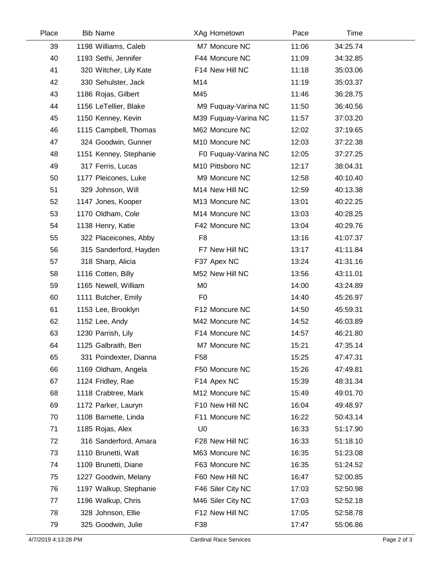| Place | <b>Bib Name</b>        |                 | XAg Hometown         | Pace  | Time     |  |
|-------|------------------------|-----------------|----------------------|-------|----------|--|
| 39    | 1198 Williams, Caleb   |                 | M7 Moncure NC        | 11:06 | 34:25.74 |  |
| 40    | 1193 Sethi, Jennifer   |                 | F44 Moncure NC       | 11:09 | 34:32.85 |  |
| 41    | 320 Witcher, Lily Kate |                 | F14 New Hill NC      | 11:18 | 35:03.06 |  |
| 42    | 330 Sehulster, Jack    | M14             |                      | 11:19 | 35:03.37 |  |
| 43    | 1186 Rojas, Gilbert    | M45             |                      | 11:46 | 36:28.75 |  |
| 44    | 1156 LeTellier, Blake  |                 | M9 Fuquay-Varina NC  | 11:50 | 36:40.56 |  |
| 45    | 1150 Kenney, Kevin     |                 | M39 Fuquay-Varina NC | 11:57 | 37:03.20 |  |
| 46    | 1115 Campbell, Thomas  |                 | M62 Moncure NC       | 12:02 | 37:19.65 |  |
| 47    | 324 Goodwin, Gunner    |                 | M10 Moncure NC       | 12:03 | 37:22.38 |  |
| 48    | 1151 Kenney, Stephanie |                 | F0 Fuquay-Varina NC  | 12:05 | 37:27.25 |  |
| 49    | 317 Ferris, Lucas      |                 | M10 Pittsboro NC     | 12:17 | 38:04.31 |  |
| 50    | 1177 Pleicones, Luke   |                 | M9 Moncure NC        | 12:58 | 40:10.40 |  |
| 51    | 329 Johnson, Will      |                 | M14 New Hill NC      | 12:59 | 40:13.38 |  |
| 52    | 1147 Jones, Kooper     |                 | M13 Moncure NC       | 13:01 | 40:22.25 |  |
| 53    | 1170 Oldham, Cole      |                 | M14 Moncure NC       | 13:03 | 40:28.25 |  |
| 54    | 1138 Henry, Katie      |                 | F42 Moncure NC       | 13:04 | 40:29.76 |  |
| 55    | 322 Placeicones, Abby  | F <sub>8</sub>  |                      | 13:16 | 41:07.37 |  |
| 56    | 315 Sanderford, Hayden |                 | F7 New Hill NC       | 13:17 | 41:11.84 |  |
| 57    | 318 Sharp, Alicia      |                 | F37 Apex NC          | 13:24 | 41:31.16 |  |
| 58    | 1116 Cotten, Billy     |                 | M52 New Hill NC      | 13:56 | 43:11.01 |  |
| 59    | 1165 Newell, William   | M <sub>0</sub>  |                      | 14:00 | 43:24.89 |  |
| 60    | 1111 Butcher, Emily    | F <sub>0</sub>  |                      | 14:40 | 45:26.97 |  |
| 61    | 1153 Lee, Brooklyn     |                 | F12 Moncure NC       | 14:50 | 45:59.31 |  |
| 62    | 1152 Lee, Andy         |                 | M42 Moncure NC       | 14:52 | 46:03.89 |  |
| 63    | 1230 Parrish, Lily     |                 | F14 Moncure NC       | 14:57 | 46:21.80 |  |
| 64    | 1125 Galbraith, Ben    |                 | M7 Moncure NC        | 15:21 | 47:35.14 |  |
| 65    | 331 Poindexter, Dianna | F <sub>58</sub> |                      | 15:25 | 47:47.31 |  |
| 66    | 1169 Oldham, Angela    |                 | F50 Moncure NC       | 15:26 | 47:49.81 |  |
| 67    | 1124 Fridley, Rae      |                 | F14 Apex NC          | 15:39 | 48:31.34 |  |
| 68    | 1118 Crabtree, Mark    |                 | M12 Moncure NC       | 15:49 | 49:01.70 |  |
| 69    | 1172 Parker, Lauryn    |                 | F10 New Hill NC      | 16:04 | 49:48.97 |  |
| 70    | 1108 Barnette, Linda   |                 | F11 Moncure NC       | 16:22 | 50:43.14 |  |
| 71    | 1185 Rojas, Alex       | U <sub>0</sub>  |                      | 16:33 | 51:17.90 |  |
| 72    | 316 Sanderford, Amara  |                 | F28 New Hill NC      | 16:33 | 51:18.10 |  |
| 73    | 1110 Brunetti, Walt    |                 | M63 Moncure NC       | 16:35 | 51:23.08 |  |
| 74    | 1109 Brunetti, Diane   |                 | F63 Moncure NC       | 16:35 | 51:24.52 |  |
| 75    | 1227 Goodwin, Melany   |                 | F60 New Hill NC      | 16:47 | 52:00.85 |  |
| 76    | 1197 Walkup, Stephanie |                 | F46 Siler City NC    | 17:03 | 52:50.98 |  |
| 77    | 1196 Walkup, Chris     |                 | M46 Siler City NC    | 17:03 | 52:52.18 |  |
| 78    | 328 Johnson, Ellie     |                 | F12 New Hill NC      | 17:05 | 52:58.78 |  |
| 79    | 325 Goodwin, Julie     | F38             |                      | 17:47 | 55:06.86 |  |